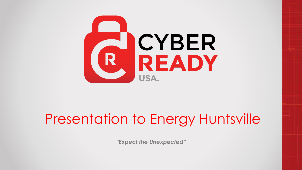

### Presentation to Energy Huntsville

*"Expect the Unexpected"*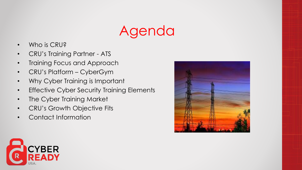### Agenda

- Who is CRU?
- CRU's Training Partner ATS
- Training Focus and Approach
- CRU's Platform CyberGym
- Why Cyber Training is Important
- Effective Cyber Security Training Elements
- The Cyber Training Market
- CRU's Growth Objective Fits
- Contact Information



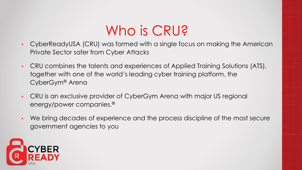### Who is CRU?

- CyberReadyUSA (CRU) was formed with a single focus on making the American Private Sector safer from Cyber Attacks
- CRU combines the talents and experiences of Applied Training Solutions (ATS), together with one of the world's leading cyber training platform, the CyberGym® Arena
- CRU is an exclusive provider of CyberGym Arena with major US regional energy/power companies.®
- We bring decades of experience and the process discipline of the most secure government agencies to you

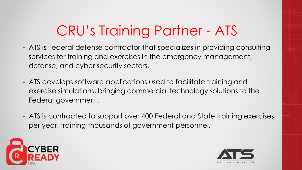# CRU's Training Partner - ATS

- ATS is Federal defense contractor that specializes in providing consulting services for training and exercises in the emergency management, defense, and cyber security sectors.
- ATS develops software applications used to facilitate training and exercise simulations, bringing commercial technology solutions to the Federal government.
- ATS is contracted to support over 400 Federal and State training exercises per year, training thousands of government personnel.



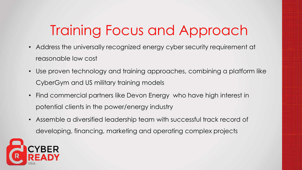## Training Focus and Approach

- Address the universally recognized energy cyber security requirement at reasonable low cost
- Use proven technology and training approaches, combining a platform like CyberGym and US military training models
- Find commercial partners like Devon Energy who have high interest in potential clients in the power/energy industry
- Assemble a diversified leadership team with successful track record of developing, financing, marketing and operating complex projects

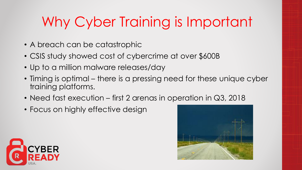# Why Cyber Training is Important

- A breach can be catastrophic
- CSIS study showed cost of cybercrime at over \$600B
- Up to a million malware releases/day
- Timing is optimal there is a pressing need for these unique cyber training platforms.
- Need fast execution first 2 arenas in operation in Q3, 2018
- Focus on highly effective design



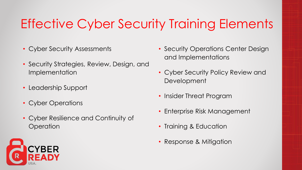#### Effective Cyber Security Training Elements

- Cyber Security Assessments
- Security Strategies, Review, Design, and Implementation
- Leadership Support
- Cyber Operations
- Cyber Resilience and Continuity of **Operation**
- Security Operations Center Design and Implementations
- Cyber Security Policy Review and Development
- Insider Threat Program
- Enterprise Risk Management
- Training & Education
- Response & Mitigation

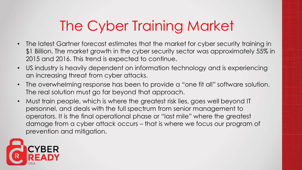### The Cyber Training Market

- The latest Gartner forecast estimates that the market for cyber security training in \$1 Billion. The market growth in the cyber security sector was approximately 55% in 2015 and 2016. This trend is expected to continue.
- US industry is heavily dependent on information technology and is experiencing an increasing threat from cyber attacks.
- The overwhelming response has been to provide a "one fit all" software solution. The real solution must go far beyond that approach.
- Must train people, which is where the greatest risk lies, goes well beyond IT personnel, and deals with the full spectrum from senior management to operators. It is the final operational phase or "last mile" where the greatest damage from a cyber attack occurs – that is where we focus our program of prevention and mitigation.

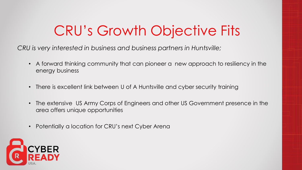### CRU's Growth Objective Fits

*CRU is very interested in business and business partners in Huntsville;*

- A forward thinking community that can pioneer a new approach to resiliency in the energy business
- There is excellent link between U of A Huntsville and cyber security training
- The extensive US Army Corps of Engineers and other US Government presence in the area offers unique opportunities
- Potentially a location for CRU's next Cyber Arena